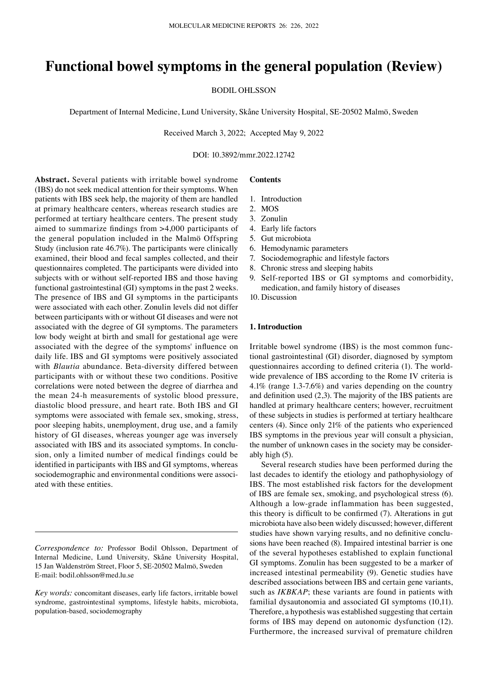# **Functional bowel symptoms in the general population (Review)**

BODIL OHLSSON

Department of Internal Medicine, Lund University, Skåne University Hospital, SE-20502 Malmö, Sweden

Received March 3, 2022; Accepted May 9, 2022

DOI: 10.3892/mmr.2022.12742

**Abstract.** Several patients with irritable bowel syndrome (IBS) do not seek medical attention for their symptoms. When patients with IBS seek help, the majority of them are handled at primary healthcare centers, whereas research studies are performed at tertiary healthcare centers. The present study aimed to summarize findings from >4,000 participants of the general population included in the Malmö Offspring Study (inclusion rate 46.7%). The participants were clinically examined, their blood and fecal samples collected, and their questionnaires completed. The participants were divided into subjects with or without self-reported IBS and those having functional gastrointestinal (GI) symptoms in the past 2 weeks. The presence of IBS and GI symptoms in the participants were associated with each other. Zonulin levels did not differ between participants with or without GI diseases and were not associated with the degree of GI symptoms. The parameters low body weight at birth and small for gestational age were associated with the degree of the symptoms' influence on daily life. IBS and GI symptoms were positively associated with *Blautia* abundance. Beta‑diversity differed between participants with or without these two conditions. Positive correlations were noted between the degree of diarrhea and the mean 24‑h measurements of systolic blood pressure, diastolic blood pressure, and heart rate. Both IBS and GI symptoms were associated with female sex, smoking, stress, poor sleeping habits, unemployment, drug use, and a family history of GI diseases, whereas younger age was inversely associated with IBS and its associated symptoms. In conclusion, only a limited number of medical findings could be identified in participants with IBS and GI symptoms, whereas sociodemographic and environmental conditions were associated with these entities.

# **Contents**

- 1. Introduction
- 2. MOS
- 3. Zonulin
- 4. Early life factors
- 5. Gut microbiota
- 6. Hemodynamic parameters
- 7. Sociodemographic and lifestyle factors
- 8. Chronic stress and sleeping habits
- 9. Self‑reported IBS or GI symptoms and comorbidity, medication, and family history of diseases
- 10. Discussion

#### **1. Introduction**

Irritable bowel syndrome (IBS) is the most common func‑ tional gastrointestinal (GI) disorder, diagnosed by symptom questionnaires according to defined criteria (1). The worldwide prevalence of IBS according to the Rome IV criteria is 4.1% (range 1.3‑7.6%) and varies depending on the country and definition used (2,3). The majority of the IBS patients are handled at primary healthcare centers; however, recruitment of these subjects in studies is performed at tertiary healthcare centers (4). Since only 21% of the patients who experienced IBS symptoms in the previous year will consult a physician, the number of unknown cases in the society may be considerably high (5).

Several research studies have been performed during the last decades to identify the etiology and pathophysiology of IBS. The most established risk factors for the development of IBS are female sex, smoking, and psychological stress (6). Although a low‑grade inflammation has been suggested, this theory is difficult to be confirmed (7). Alterations in gut microbiota have also been widely discussed; however, different studies have shown varying results, and no definitive conclusions have been reached (8). Impaired intestinal barrier is one of the several hypotheses established to explain functional GI symptoms. Zonulin has been suggested to be a marker of increased intestinal permeability (9). Genetic studies have described associations between IBS and certain gene variants, such as *IKBKAP*; these variants are found in patients with familial dysautonomia and associated GI symptoms (10,11). Therefore, a hypothesis was established suggesting that certain forms of IBS may depend on autonomic dysfunction (12). Furthermore, the increased survival of premature children

*Correspondence to:* Professor Bodil Ohlsson, Department of Internal Medicine, Lund University, Skåne University Hospital, 15 Jan Waldenström Street, Floor 5, SE-20502 Malmö, Sweden E‑mail: bodil.ohlsson@med.lu.se

*Key words:* concomitant diseases, early life factors, irritable bowel syndrome, gastrointestinal symptoms, lifestyle habits, microbiota, population‑based, sociodemography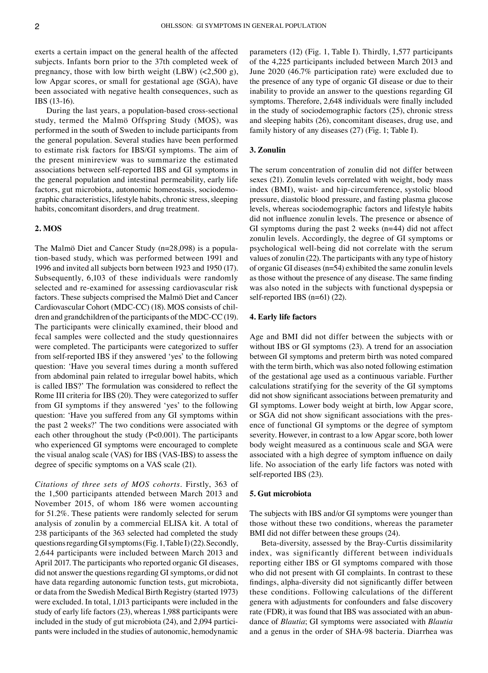exerts a certain impact on the general health of the affected subjects. Infants born prior to the 37th completed week of pregnancy, those with low birth weight (LBW)  $\left($ <2,500 g), low Apgar scores, or small for gestational age (SGA), have been associated with negative health consequences, such as IBS (13‑16).

During the last years, a population‑based cross‑sectional study, termed the Malmö Offspring Study (MOS), was performed in the south of Sweden to include participants from the general population. Several studies have been performed to estimate risk factors for IBS/GI symptoms. The aim of the present minireview was to summarize the estimated associations between self‑reported IBS and GI symptoms in the general population and intestinal permeability, early life factors, gut microbiota, autonomic homeostasis, sociodemographic characteristics, lifestyle habits, chronic stress, sleeping habits, concomitant disorders, and drug treatment.

# **2. MOS**

The Malmö Diet and Cancer Study (n=28,098) is a population-based study, which was performed between 1991 and 1996 and invited all subjects born between 1923 and 1950 (17). Subsequently, 6,103 of these individuals were randomly selected and re‑examined for assessing cardiovascular risk factors. These subjects comprised the Malmö Diet and Cancer Cardiovascular Cohort (MDC‑CC) (18). MOS consists of chil‑ dren and grandchildren of the participants of the MDC‑CC(19). The participants were clinically examined, their blood and fecal samples were collected and the study questionnaires were completed. The participants were categorized to suffer from self-reported IBS if they answered 'yes' to the following question: 'Have you several times during a month suffered from abdominal pain related to irregular bowel habits, which is called IBS?' The formulation was considered to reflect the Rome III criteria for IBS (20). They were categorized to suffer from GI symptoms if they answered 'yes' to the following question: 'Have you suffered from any GI symptoms within the past 2 weeks?' The two conditions were associated with each other throughout the study (P<0.001). The participants who experienced GI symptoms were encouraged to complete the visual analog scale (VAS) for IBS (VAS‑IBS) to assess the degree of specific symptoms on a VAS scale (21).

*Citations of three sets of MOS cohorts.* Firstly, 363 of the 1,500 participants attended between March 2013 and November 2015, of whom 186 were women accounting for 51.2%. These patients were randomly selected for serum analysis of zonulin by a commercial ELISA kit. A total of 238 participants of the 363 selected had completed the study questions regarding GI symptoms (Fig.1, TableI)(22). Secondly, 2,644 participants were included between March 2013 and April 2017. The participants who reported organic GI diseases, did not answer the questions regarding GI symptoms, or did not have data regarding autonomic function tests, gut microbiota, or data from the Swedish Medical Birth Registry (started 1973) were excluded. In total, 1,013 participants were included in the study of early life factors (23), whereas 1,988 participants were included in the study of gut microbiota  $(24)$ , and  $2,094$  participants were included in the studies of autonomic, hemodynamic parameters (12) (Fig. 1, Table I). Thirdly, 1,577 participants of the 4,225 participants included between March 2013 and June 2020 (46.7% participation rate) were excluded due to the presence of any type of organic GI disease or due to their inability to provide an answer to the questions regarding GI symptoms. Therefore, 2,648 individuals were finally included in the study of sociodemographic factors (25), chronic stress and sleeping habits (26), concomitant diseases, drug use, and family history of any diseases (27) (Fig. 1; Table I).

# **3. Zonulin**

The serum concentration of zonulin did not differ between sexes (21). Zonulin levels correlated with weight, body mass index (BMI), waist- and hip-circumference, systolic blood pressure, diastolic blood pressure, and fasting plasma glucose levels, whereas sociodemographic factors and lifestyle habits did not influence zonulin levels. The presence or absence of GI symptoms during the past 2 weeks  $(n=44)$  did not affect zonulin levels. Accordingly, the degree of GI symptoms or psychological well‑being did not correlate with the serum values of zonulin (22). The participants with any type of history of organic GI diseases (n=54) exhibited the same zonulin levels as those without the presence of any disease. The same finding was also noted in the subjects with functional dyspepsia or self-reported IBS  $(n=61)$  (22).

# **4. Early life factors**

Age and BMI did not differ between the subjects with or without IBS or GI symptoms (23). A trend for an association between GI symptoms and preterm birth was noted compared with the term birth, which was also noted following estimation of the gestational age used as a continuous variable. Further calculations stratifying for the severity of the GI symptoms did not show significant associations between prematurity and GI symptoms. Lower body weight at birth, low Apgar score, or SGA did not show significant associations with the presence of functional GI symptoms or the degree of symptom severity. However, in contrast to a low Apgar score, both lower body weight measured as a continuous scale and SGA were associated with a high degree of symptom influence on daily life. No association of the early life factors was noted with self-reported IBS (23).

# **5. Gut microbiota**

The subjects with IBS and/or GI symptoms were younger than those without these two conditions, whereas the parameter BMI did not differ between these groups (24).

Beta‑diversity, assessed by the Bray‑Curtis dissimilarity index, was significantly different between individuals reporting either IBS or GI symptoms compared with those who did not present with GI complaints. In contrast to these findings, alpha‑diversity did not significantly differ between these conditions. Following calculations of the different genera with adjustments for confounders and false discovery rate (FDR), it was found that IBS was associated with an abundance of *Blautia*; GI symptoms were associated with *Blautia* and a genus in the order of SHA‑98 bacteria. Diarrhea was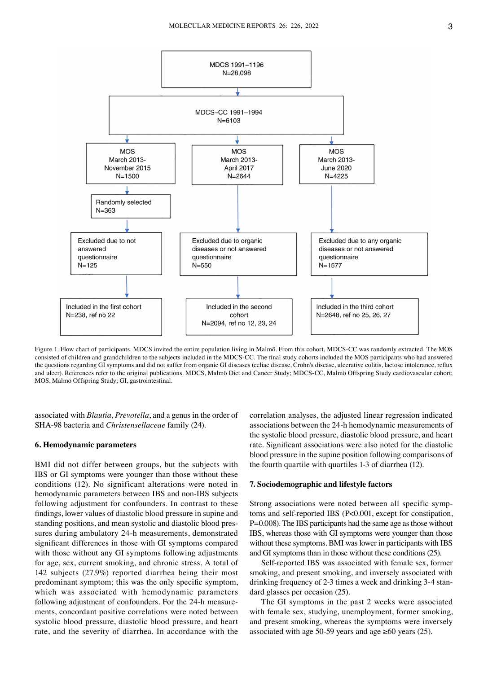

Figure 1. Flow chart of participants. MDCS invited the entire population living in Malmö. From this cohort, MDCS‑CC was randomly extracted. The MOS consisted of children and grandchildren to the subjects included in the MDCS‑CC. The final study cohorts included the MOS participants who had answered the questions regarding GI symptoms and did not suffer from organic GI diseases (celiac disease, Crohn's disease, ulcerative colitis, lactose intolerance, reflux and ulcer). References refer to the original publications. MDCS, Malmö Diet and Cancer Study; MDCS‑CC, Malmö Offspring Study cardiovascular cohort; MOS, Malmö Offspring Study; GI, gastrointestinal.

associated with *Blautia*, *Prevotella*, and a genus in the order of SHA‑98 bacteria and *Christensellaceae* family (24).

## **6. Hemodynamic parameters**

BMI did not differ between groups, but the subjects with IBS or GI symptoms were younger than those without these conditions (12). No significant alterations were noted in hemodynamic parameters between IBS and non‑IBS subjects following adjustment for confounders. In contrast to these findings, lower values of diastolic blood pressure in supine and standing positions, and mean systolic and diastolic blood pressures during ambulatory 24‑h measurements, demonstrated significant differences in those with GI symptoms compared with those without any GI symptoms following adjustments for age, sex, current smoking, and chronic stress. A total of 142 subjects (27.9%) reported diarrhea being their most predominant symptom; this was the only specific symptom, which was associated with hemodynamic parameters following adjustment of confounders. For the 24-h measurements, concordant positive correlations were noted between systolic blood pressure, diastolic blood pressure, and heart rate, and the severity of diarrhea. In accordance with the correlation analyses, the adjusted linear regression indicated associations between the 24‑h hemodynamic measurements of the systolic blood pressure, diastolic blood pressure, and heart rate. Significant associations were also noted for the diastolic blood pressure in the supine position following comparisons of the fourth quartile with quartiles 1‑3 of diarrhea (12).

## **7. Sociodemographic and lifestyle factors**

Strong associations were noted between all specific symptoms and self-reported IBS (P<0.001, except for constipation, P=0.008). The IBS participants had the same age as those without IBS, whereas those with GI symptoms were younger than those without these symptoms. BMI was lower in participants with IBS and GI symptoms than in those without these conditions (25).

Self-reported IBS was associated with female sex, former smoking, and present smoking, and inversely associated with drinking frequency of 2‑3 times a week and drinking 3‑4 stan‑ dard glasses per occasion (25).

The GI symptoms in the past 2 weeks were associated with female sex, studying, unemployment, former smoking, and present smoking, whereas the symptoms were inversely associated with age 50-59 years and age  $\geq 60$  years (25).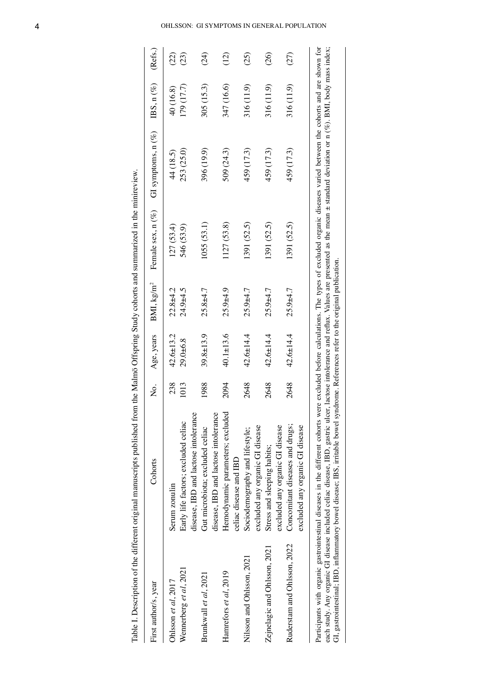| First author/s, year         | Cohorts                                                                                                                                                                                                                                                                                                                                                                                                                                                                                                                                            | Ż.   | Age, years      | BMI, kg/m <sup>2</sup> | Female $sex, n (\%)$ | GI symptoms, $n(%)$ | IBS, $n$ $(\%)$ | (Refs.) |
|------------------------------|----------------------------------------------------------------------------------------------------------------------------------------------------------------------------------------------------------------------------------------------------------------------------------------------------------------------------------------------------------------------------------------------------------------------------------------------------------------------------------------------------------------------------------------------------|------|-----------------|------------------------|----------------------|---------------------|-----------------|---------|
| Ohlsson et al, $2017$        | Serum zonulin                                                                                                                                                                                                                                                                                                                                                                                                                                                                                                                                      | 238  | $42.6 \pm 13.2$ | $22.8 + 4.2$           | 127(53.4)            | 44 (18.5)           | 40 (16.8)       | (22)    |
| Wennerberg et al, 2021       | disease, IBD and lactose intolerance<br>Early life factors; excluded celiac                                                                                                                                                                                                                                                                                                                                                                                                                                                                        | 1013 | 29.0±6.8        | 24.9±4.5               | 546 (53.9)           | 253 (25.0)          | 179 (17.7)      | (23)    |
| Brunkwall et al, 2021        | disease, IBD and lactose intolerance<br>Gut microbiota; excluded celiac                                                                                                                                                                                                                                                                                                                                                                                                                                                                            | 1988 | 39.8±13.9       | $25.8 + 4.7$           | 1055 (53.1)          | 396 (19.9)          | 305 (15.3)      | (24)    |
| Hamrefors et al, 2019        | Hemodynamic parameters; excluded<br>celiac disease and IBD                                                                                                                                                                                                                                                                                                                                                                                                                                                                                         | 2094 | $40.1 \pm 13.6$ | $25.9 + 4.9$           | 1127 (53.8)          | 509 (24.3)          | 347 (16.6)      | (12)    |
| Nilsson and Ohlsson, 2021    | excluded any organic GI disease<br>Sociodemography and lifestyle;                                                                                                                                                                                                                                                                                                                                                                                                                                                                                  | 2648 | $42.6 \pm 14.4$ | $25.9 + 4.7$           | [391 (52.5)          | 459 (17.3)          | 316 (11.9)      | (25)    |
| Zejnelagic and Ohlsson, 2021 | excluded any organic GI disease<br>Stress and sleeping habits;                                                                                                                                                                                                                                                                                                                                                                                                                                                                                     | 2648 | $42.6 \pm 14.4$ | $25.9 + 4.7$           | 1391 (52.5)          | 459 (17.3)          | 316 (11.9)      | (26)    |
| Ruderstam and Ohlsson, 2022  | Concomitant diseases and drugs;<br>excluded any organic GI disease                                                                                                                                                                                                                                                                                                                                                                                                                                                                                 | 2648 | $42.6 \pm 14.4$ | $25.9 + 4.7$           | 1391 (52.5)          | 459 (17.3)          | 316 (11.9)      | (27)    |
|                              | Participants with organic gastrointestinal diseases in the different cohorts were excluded before calculations. The types of excluded organic diseases varied between the cohorts and are shown for<br>each study. Any organic GI disease included celiac disease, IBD, gastric ulcer, lactose intolerance and reflux. Values are presented as the mean ± standard deviation or n (%). BMI, body mass index;<br>GI, gastrointestinal; IBD, inflammatory bowel disease; IBS, irritable bowel syndrome. References refer to the original publication |      |                 |                        |                      |                     |                 |         |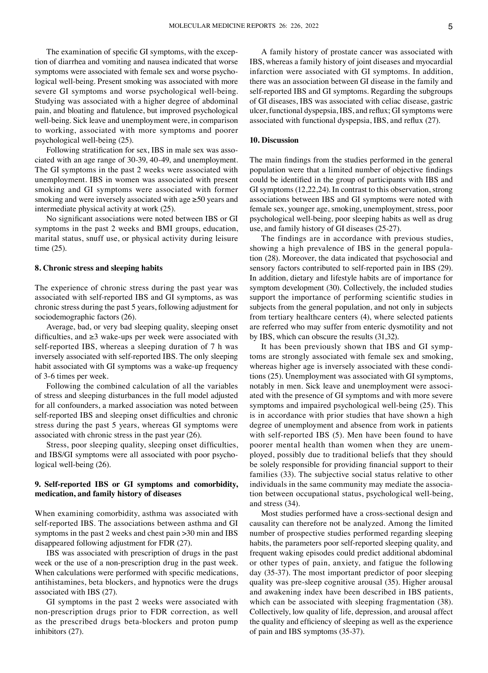The examination of specific GI symptoms, with the exception of diarrhea and vomiting and nausea indicated that worse symptoms were associated with female sex and worse psychological well-being. Present smoking was associated with more severe GI symptoms and worse psychological well-being. Studying was associated with a higher degree of abdominal pain, and bloating and flatulence, but improved psychological well-being. Sick leave and unemployment were, in comparison to working, associated with more symptoms and poorer psychological well‑being (25).

Following stratification for sex, IBS in male sex was associated with an age range of 30‑39, 40‑49, and unemployment. The GI symptoms in the past 2 weeks were associated with unemployment. IBS in women was associated with present smoking and GI symptoms were associated with former smoking and were inversely associated with age ≥50 years and intermediate physical activity at work (25).

No significant associations were noted between IBS or GI symptoms in the past 2 weeks and BMI groups, education, marital status, snuff use, or physical activity during leisure time (25).

#### **8. Chronic stress and sleeping habits**

The experience of chronic stress during the past year was associated with self‑reported IBS and GI symptoms, as was chronic stress during the past 5 years, following adjustment for sociodemographic factors (26).

Average, bad, or very bad sleeping quality, sleeping onset difficulties, and  $\geq$ 3 wake-ups per week were associated with self-reported IBS, whereas a sleeping duration of 7 h was inversely associated with self-reported IBS. The only sleeping habit associated with GI symptoms was a wake-up frequency of 3‑6 times per week.

Following the combined calculation of all the variables of stress and sleeping disturbances in the full model adjusted for all confounders, a marked association was noted between self-reported IBS and sleeping onset difficulties and chronic stress during the past 5 years, whereas GI symptoms were associated with chronic stress in the past year (26).

Stress, poor sleeping quality, sleeping onset difficulties, and IBS/GI symptoms were all associated with poor psychological well-being (26).

# **9. Self‑reported IBS or GI symptoms and comorbidity, medication, and family history of diseases**

When examining comorbidity, asthma was associated with self-reported IBS. The associations between asthma and GI symptoms in the past 2 weeks and chest pain >30 min and IBS disappeared following adjustment for FDR (27).

IBS was associated with prescription of drugs in the past week or the use of a non-prescription drug in the past week. When calculations were performed with specific medications, antihistamines, beta blockers, and hypnotics were the drugs associated with IBS (27).

GI symptoms in the past 2 weeks were associated with non‑prescription drugs prior to FDR correction, as well as the prescribed drugs beta‑blockers and proton pump inhibitors (27).

A family history of prostate cancer was associated with IBS, whereas a family history of joint diseases and myocardial infarction were associated with GI symptoms. In addition, there was an association between GI disease in the family and self-reported IBS and GI symptoms. Regarding the subgroups of GI diseases, IBS was associated with celiac disease, gastric ulcer, functional dyspepsia, IBS, and reflux; GI symptoms were associated with functional dyspepsia, IBS, and reflux (27).

# **10. Discussion**

The main findings from the studies performed in the general population were that a limited number of objective findings could be identified in the group of participants with IBS and GI symptoms (12,22,24). In contrast to this observation, strong associations between IBS and GI symptoms were noted with female sex, younger age, smoking, unemployment, stress, poor psychological well‑being, poor sleeping habits as well as drug use, and family history of GI diseases (25‑27).

The findings are in accordance with previous studies, showing a high prevalence of IBS in the general population (28). Moreover, the data indicated that psychosocial and sensory factors contributed to self-reported pain in IBS (29). In addition, dietary and lifestyle habits are of importance for symptom development (30). Collectively, the included studies support the importance of performing scientific studies in subjects from the general population, and not only in subjects from tertiary healthcare centers (4), where selected patients are referred who may suffer from enteric dysmotility and not by IBS, which can obscure the results (31,32).

It has been previously shown that IBS and GI symptoms are strongly associated with female sex and smoking, whereas higher age is inversely associated with these conditions (25). Unemployment was associated with GI symptoms, notably in men. Sick leave and unemployment were associated with the presence of GI symptoms and with more severe symptoms and impaired psychological well-being (25). This is in accordance with prior studies that have shown a high degree of unemployment and absence from work in patients with self-reported IBS (5). Men have been found to have poorer mental health than women when they are unemployed, possibly due to traditional beliefs that they should be solely responsible for providing financial support to their families (33). The subjective social status relative to other individuals in the same community may mediate the association between occupational status, psychological well-being, and stress (34).

Most studies performed have a cross‑sectional design and causality can therefore not be analyzed. Among the limited number of prospective studies performed regarding sleeping habits, the parameters poor self‑reported sleeping quality, and frequent waking episodes could predict additional abdominal or other types of pain, anxiety, and fatigue the following day (35‑37). The most important predictor of poor sleeping quality was pre‑sleep cognitive arousal (35). Higher arousal and awakening index have been described in IBS patients, which can be associated with sleeping fragmentation (38). Collectively, low quality of life, depression, and arousal affect the quality and efficiency of sleeping as well as the experience of pain and IBS symptoms (35‑37).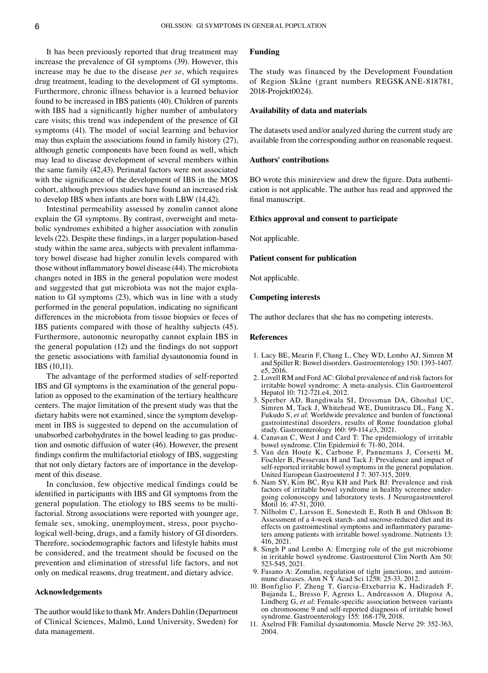It has been previously reported that drug treatment may increase the prevalence of GI symptoms (39). However, this increase may be due to the disease *per se*, which requires drug treatment, leading to the development of GI symptoms. Furthermore, chronic illness behavior is a learned behavior found to be increased in IBS patients (40). Children of parents with IBS had a significantly higher number of ambulatory care visits; this trend was independent of the presence of GI symptoms (41). The model of social learning and behavior may thus explain the associations found in family history (27), although genetic components have been found as well, which may lead to disease development of several members within the same family (42,43). Perinatal factors were not associated with the significance of the development of IBS in the MOS cohort, although previous studies have found an increased risk to develop IBS when infants are born with LBW (14,42).

Intestinal permeability assessed by zonulin cannot alone explain the GI symptoms. By contrast, overweight and metabolic syndromes exhibited a higher association with zonulin levels (22). Despite these findings, in a larger population-based study within the same area, subjects with prevalent inflammatory bowel disease had higher zonulin levels compared with those without inflammatory bowel disease (44). The microbiota changes noted in IBS in the general population were modest and suggested that gut microbiota was not the major explanation to GI symptoms (23), which was in line with a study performed in the general population, indicating no significant differences in the microbiota from tissue biopsies or feces of IBS patients compared with those of healthy subjects (45). Furthermore, autonomic neuropathy cannot explain IBS in the general population (12) and the findings do not support the genetic associations with familial dysautonomia found in IBS (10,11).

The advantage of the performed studies of self-reported IBS and GI symptoms is the examination of the general population as opposed to the examination of the tertiary healthcare centers. The major limitation of the present study was that the dietary habits were not examined, since the symptom development in IBS is suggested to depend on the accumulation of unabsorbed carbohydrates in the bowel leading to gas production and osmotic diffusion of water (46). However, the present findings confirm the multifactorial etiology of IBS, suggesting that not only dietary factors are of importance in the development of this disease.

In conclusion, few objective medical findings could be identified in participants with IBS and GI symptoms from the general population. The etiology to IBS seems to be multifactorial. Strong associations were reported with younger age, female sex, smoking, unemployment, stress, poor psychological well-being, drugs, and a family history of GI disorders. Therefore, sociodemographic factors and lifestyle habits must be considered, and the treatment should be focused on the prevention and elimination of stressful life factors, and not only on medical reasons, drug treatment, and dietary advice.

# **Acknowledgements**

The author would like to thank Mr. Anders Dahlin (Department of Clinical Sciences, Malmö, Lund University, Sweden) for data management.

# **Funding**

The study was financed by the Development Foundation of Region Skåne (grant numbers REGSKANE‑818781, 2018‑Projekt0024).

## **Availability of data and materials**

The datasets used and/or analyzed during the current study are available from the corresponding author on reasonable request.

# **Authors' contributions**

BO wrote this minireview and drew the figure. Data authentication is not applicable. The author has read and approved the final manuscript.

# **Ethics approval and consent to participate**

Not applicable.

## **Patient consent for publication**

Not applicable.

## **Competing interests**

The author declares that she has no competing interests.

## **References**

- 1. Lacy BE, Mearin F, Chang L, Chey WD, Lembo AJ, Simren M and Spiller R: Bowel disorders. Gastroenterology 150: 1393‑1407. e5, 2016.
- 2. Lovell RM and Ford AC: Global prevalence of and risk factors for irritable bowel syndrome: A meta‑analysis. Clin Gastroenterol Hepatol 10: 712‑721.e4, 2012.
- 3. Sperber AD, Bangdiwala SI, Drossman DA, Ghoshal UC, Simren M, Tack J, Whitehead WE, Dumitrascu DL, Fang X, Fukudo S, *et al*: Worldwide prevalence and burden of functional gastrointestinal disorders, results of Rome foundation global study. Gastroenterology 160: 99‑114.e3, 2021.
- 4. Canavan C, West J and Card T: The epidemiology of irritable bowel syndrome. Clin Epidemiol 6: 71‑80, 2014.
- 5. Van den Houte K, Carbone F, Pannemans J, Corsetti M, Fischler B, Piessevaux H and Tack J: Prevalence and impact of self‑reported irritable bowel symptoms in the general population. United European Gastroenterol J 7: 307‑315, 2019.
- 6. Nam SY, Kim BC, Ryu KH and Park BJ: Prevalence and risk factors of irritable bowel syndrome in healthy screenee undergoing colonoscopy and laboratory tests. J Neurogastroenterol Motil 16: 47‑51, 2010.
- 7. Nilholm C, Larsson E, Sonestedt E, Roth B and Ohlsson B: Assessment of a 4‑week starch‑ and sucrose‑reduced diet and its effects on gastrointestinal symptoms and inflammatory parameters among patients with irritable bowel syndrome. Nutrients 13: 416, 2021.
- 8. Singh P and Lembo A: Emerging role of the gut microbiome in irritable bowel syndrome. Gastroenterol Clin North Am 50: 523‑545, 2021.
- 9. Fasano A: Zonulin, regulation of tight junctions, and autoimmune diseases. Ann N Y Acad Sci 1258: 25‑33, 2012.
- 10. Bonfiglio F, Zheng T, Garcia‑Etxebarria K, Hadizadeh F, Bujanda L, Bresso F, Agreus L, Andreasson A, Dlugosz A, Lindberg G, *et al*: Female‑specific association between variants on chromosome 9 and self‑reported diagnosis of irritable bowel syndrome. Gastroenterology 155: 168-179, 2018.
- 11. Axelrod FB: Familial dysautonomia. Muscle Nerve 29: 352‑363, 2004.